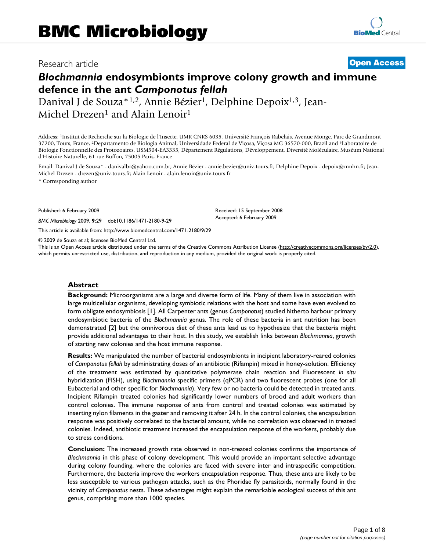# Research article **[Open Access](http://www.biomedcentral.com/info/about/charter/)**

# *Blochmannia* **endosymbionts improve colony growth and immune defence in the ant** *Camponotus fellah*

Danival J de Souza\*<sup>1,2</sup>, Annie Bézier<sup>1</sup>, Delphine Depoix<sup>1,3</sup>, Jean-Michel Drezen<sup>1</sup> and Alain Lenoir<sup>1</sup>

Address: 1Institut de Recherche sur la Biologie de l'Insecte, UMR CNRS 6035, Université François Rabelais, Avenue Monge, Parc de Grandmont 37200, Tours, France, 2Departamento de Biologia Animal, Universidade Federal de Viçosa, Viçosa MG 36570-000, Brazil and 3Laboratoire de Biologie Fonctionnelle des Protozoaires, USM504-EA3335, Département Régulations, Développement, Diversité Moléculaire, Muséum National d'Histoire Naturelle, 61 rue Buffon, 75005 Paris, France

Email: Danival J de Souza\* - danivalbr@yahoo.com.br; Annie Bézier - annie.bezier@univ-tours.fr; Delphine Depoix - depoix@mnhn.fr; Jean-Michel Drezen - drezen@univ-tours.fr; Alain Lenoir - alain.lenoir@univ-tours.fr

\* Corresponding author

Published: 6 February 2009

*BMC Microbiology* 2009, **9**:29 doi:10.1186/1471-2180-9-29

[This article is available from: http://www.biomedcentral.com/1471-2180/9/29](http://www.biomedcentral.com/1471-2180/9/29)

© 2009 de Souza et al; licensee BioMed Central Ltd.

This is an Open Access article distributed under the terms of the Creative Commons Attribution License [\(http://creativecommons.org/licenses/by/2.0\)](http://creativecommons.org/licenses/by/2.0), which permits unrestricted use, distribution, and reproduction in any medium, provided the original work is properly cited.

Received: 15 September 2008 Accepted: 6 February 2009

# **Abstract**

**Background:** Microorganisms are a large and diverse form of life. Many of them live in association with large multicellular organisms, developing symbiotic relations with the host and some have even evolved to form obligate endosymbiosis [1]. All Carpenter ants (genus *Camponotus*) studied hitherto harbour primary endosymbiotic bacteria of the *Blochmannia* genus. The role of these bacteria in ant nutrition has been demonstrated [2] but the omnivorous diet of these ants lead us to hypothesize that the bacteria might provide additional advantages to their host. In this study, we establish links between *Blochmannia*, growth of starting new colonies and the host immune response.

**Results:** We manipulated the number of bacterial endosymbionts in incipient laboratory-reared colonies of *Camponotus fellah* by administrating doses of an antibiotic (Rifampin) mixed in honey-solution. Efficiency of the treatment was estimated by quantitative polymerase chain reaction and Fluorescent *in situ* hybridization (FISH), using *Blochmannia* specific primers (qPCR) and two fluorescent probes (one for all Eubacterial and other specific for *Blochmannia*). Very few or no bacteria could be detected in treated ants. Incipient Rifampin treated colonies had significantly lower numbers of brood and adult workers than control colonies. The immune response of ants from control and treated colonies was estimated by inserting nylon filaments in the gaster and removing it after 24 h. In the control colonies, the encapsulation response was positively correlated to the bacterial amount, while no correlation was observed in treated colonies. Indeed, antibiotic treatment increased the encapsulation response of the workers, probably due to stress conditions.

**Conclusion:** The increased growth rate observed in non-treated colonies confirms the importance of *Blochmannia* in this phase of colony development. This would provide an important selective advantage during colony founding, where the colonies are faced with severe inter and intraspecific competition. Furthermore, the bacteria improve the workers encapsulation response. Thus, these ants are likely to be less susceptible to various pathogen attacks, such as the Phoridae fly parasitoids, normally found in the vicinity of *Camponotus* nests. These advantages might explain the remarkable ecological success of this ant genus, comprising more than 1000 species.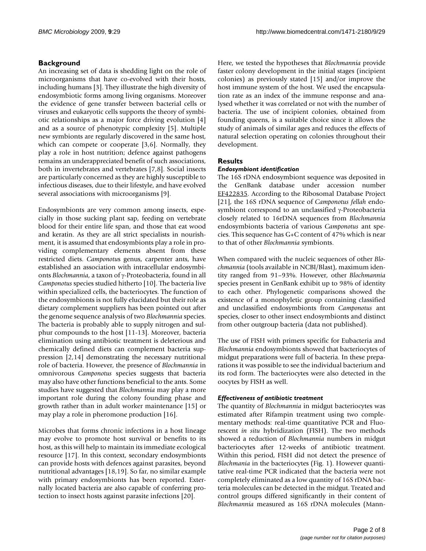# **Background**

An increasing set of data is shedding light on the role of microorganisms that have co-evolved with their hosts, including humans [3]. They illustrate the high diversity of endosymbiotic forms among living organisms. Moreover the evidence of gene transfer between bacterial cells or viruses and eukaryotic cells supports the theory of symbiotic relationships as a major force driving evolution [4] and as a source of phenotypic complexity [5]. Multiple new symbionts are regularly discovered in the same host, which can compete or cooperate [3,6]. Normally, they play a role in host nutrition; defence against pathogens remains an underappreciated benefit of such associations, both in invertebrates and vertebrates [7,8]. Social insects are particularly concerned as they are highly susceptible to infectious diseases, due to their lifestyle, and have evolved several associations with microorganisms [9].

Endosymbionts are very common among insects, especially in those sucking plant sap, feeding on vertebrate blood for their entire life span, and those that eat wood and keratin. As they are all strict specialists in nourishment, it is assumed that endosymbionts play a role in providing complementary elements absent from these restricted diets. *Camponotu*s genus, carpenter ants, have established an association with intracellular endosymbionts *Blochmannia*, a taxon of γ-Proteobacteria, found in all *Camponotus* species studied hitherto [10]. The bacteria live within specialized cells, the bacteriocytes. The function of the endosymbionts is not fully elucidated but their role as dietary complement suppliers has been pointed out after the genome sequence analysis of two *Blochmannia* species. The bacteria is probably able to supply nitrogen and sulphur compounds to the host [11-13]. Moreover, bacteria elimination using antibiotic treatment is deleterious and chemically defined diets can complement bacteria suppression [2,14] demonstrating the necessary nutritional role of bacteria. However, the presence of *Blochmannia* in omnivorous *Camponotus* species suggests that bacteria may also have other functions beneficial to the ants. Some studies have suggested that *Blochmannia* may play a more important role during the colony founding phase and growth rather than in adult worker maintenance [15] or may play a role in pheromone production [\[16](#page-6-0)].

Microbes that forms chronic infections in a host lineage may evolve to promote host survival or benefits to its host, as this will help to maintain its immediate ecological resource [17]. In this context, secondary endosymbionts can provide hosts with defences against parasites, beyond nutritional advantages [18,19]. So far, no similar example with primary endosymbionts has been reported. Externally located bacteria are also capable of conferring protection to insect hosts against parasite infections [20].

Here, we tested the hypotheses that *Blochmannia* provide faster colony development in the initial stages (incipient colonies) as previously stated [15] and/or improve the host immune system of the host. We used the encapsulation rate as an index of the immune response and analysed whether it was correlated or not with the number of bacteria. The use of incipient colonies, obtained from founding queens, is a suitable choice since it allows the study of animals of similar ages and reduces the effects of natural selection operating on colonies throughout their development.

# **Results**

# *Endosymbiont identification*

The 16S rDNA endosymbiont sequence was deposited in the GenBank database under accession number [EF422835.](http://www.ncbi.nih.gov/entrez/query.fcgi?db=Nucleotide&cmd=search&term=EF422835) According to the Ribosomal Database Project [21], the 16S rDNA sequence of *Camponotus fellah* endosymbiont correspond to an unclassified γ-Proteobacteria closely related to 16rDNA sequences from *Blochmannia* endosymbionts bacteria of various *Camponotus* ant species. This sequence has G+C content of 47% which is near to that of other *Blochmannia* symbionts.

When compared with the nucleic sequences of other *Blochmannia* (tools available in NCBI/Blast), maximum identity ranged from 91–93%. However, other *Blochmannia* species present in GenBank exhibit up to 98% of identity to each other. Phylogenetic comparisons showed the existence of a monophyletic group containing classified and unclassified endosymbionts from *Camponotus* ant species, closer to other insect endosymbionts and distinct from other outgroup bacteria (data not published).

The use of FISH with primers specific for Eubacteria and *Blochmannia* endosymbionts showed that bacteriocytes of midgut preparations were full of bacteria. In these preparations it was possible to see the individual bacterium and its rod form. The bacteriocytes were also detected in the oocytes by FISH as well.

# *Effectiveness of antibiotic treatment*

The quantity of *Blochmannia* in midgut bacteriocytes was estimated after Rifampin treatment using two complementary methods: real-time quantitative PCR and Fluorescent *in situ* hybridization (FISH). The two methods showed a reduction of *Blochmannia* numbers in midgut bacteriocytes after 12-weeks of antibiotic treatment. Within this period, FISH did not detect the presence of *Blochmania* in the bacteriocytes (Fig. 1). However quantitative real-time PCR indicated that the bacteria were not completely eliminated as a low quantity of 16S rDNA bacteria molecules can be detected in the midgut. Treated and control groups differed significantly in their content of *Blochmannia* measured as 16S rDNA molecules (Mann-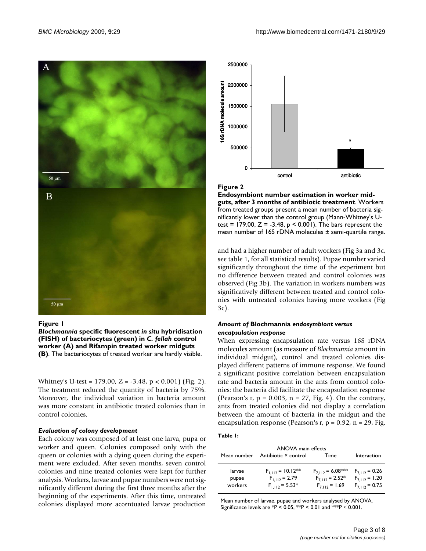

**Figure 1** 

*Blochmannia* **specific fluorescent** *in situ* **hybridisation (FISH) of bacteriocytes (green) in** *C. fellah* **control worker (A) and Rifampin treated worker midguts (B)**. The bacteriocytes of treated worker are hardly visible.

Whitney's U-test = 179.00,  $Z = -3.48$ ,  $p < 0.001$ ) (Fig. 2). The treatment reduced the quantity of bacteria by 75%. Moreover, the individual variation in bacteria amount was more constant in antibiotic treated colonies than in control colonies.

# *Evaluation of colony development*

Each colony was composed of at least one larva, pupa or worker and queen. Colonies composed only with the queen or colonies with a dying queen during the experiment were excluded. After seven months, seven control colonies and nine treated colonies were kept for further analysis. Workers, larvae and pupae numbers were not significantly different during the first three months after the beginning of the experiments. After this time, untreated colonies displayed more accentuated larvae production



# Figure 2

**Endosymbiont number estimation in worker midguts, after 3 months of antibiotic treatment**. Workers from treated groups present a mean number of bacteria significantly lower than the control group (Mann-Whitney's Utest = 179.00,  $Z = -3.48$ ,  $p < 0.001$ ). The bars represent the mean number of 16S rDNA molecules ± semi-quartile range.

and had a higher number of adult workers (Fig 3a and 3c, see table 1, for all statistical results). Pupae number varied significantly throughout the time of the experiment but no difference between treated and control colonies was observed (Fig 3b). The variation in workers numbers was significatively different between treated and control colonies with untreated colonies having more workers (Fig 3c).

# *Amount of* **Blochmannia** *endosymbiont versus encapsulation response*

When expressing encapsulation rate versus 16S rDNA molecules amount (as measure of *Blochmannia* amount in individual midgut), control and treated colonies displayed different patterns of immune response. We found a significant positive correlation between encapsulation rate and bacteria amount in the ants from control colonies: the bacteria did facilitate the encapsulation response (Pearson's r,  $p = 0.003$ ,  $n = 27$ , Fig. 4). On the contrary, ants from treated colonies did not display a correlation between the amount of bacteria in the midgut and the encapsulation response (Pearson's r,  $p = 0.92$ ,  $n = 29$ , Fig.

#### **Table 1:**

| ANOVA main effects |                      |                       |                    |
|--------------------|----------------------|-----------------------|--------------------|
| Mean number        | Antibiotic × control | Time                  | Interaction        |
|                    |                      |                       |                    |
| larvae             | $F_{1112} = 10.12**$ | $F_{7,112} = 6.08***$ | $F_{7,112} = 0.26$ |
| pupae              | $F_{1,112} = 2.79$   | $F_{7,112} = 2.52*$   | $F_{7,112} = 1.20$ |
| workers            | $F_{1112} = 5.53*$   | $F_{7,112} = 1.69$    | $F_{7112} = 0.75$  |
|                    |                      |                       |                    |

Mean number of larvae, pupae and workers analysed by ANOVA. Significance levels are \*P < 0.05, \*\*P < 0.01 and \*\*P  $\leq$  0.001.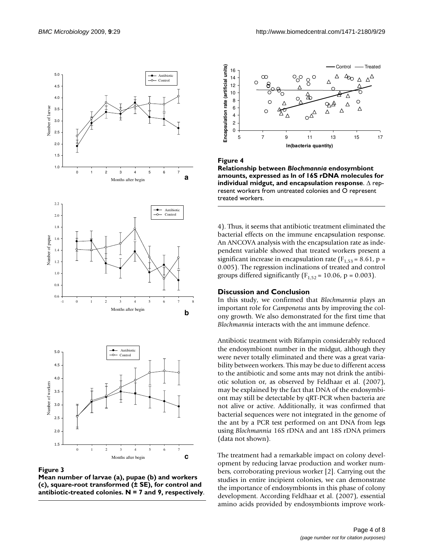





**Mean number of larvae (a), pupae (b) and workers (c), square-root transformed (± SE), for control and antibiotic-treated colonies. N = 7 and 9, respectively**.



Figure 4

**Relationship between** *Blochmannia* **endosymbiont amounts, expressed as ln of 16S rDNA molecules for individual midgut, and encapsulation response**. Δ represent workers from untreated colonies and O represent treated workers.

4). Thus, it seems that antibiotic treatment eliminated the bacterial effects on the immune encapsulation response. An ANCOVA analysis with the encapsulation rate as independent variable showed that treated workers present a significant increase in encapsulation rate ( $F_{1,53}$  = 8.61, p = 0.005). The regression inclinations of treated and control groups differed significantly ( $F_{1,52}$  = 10.06, p = 0.003).

# **Discussion and Conclusion**

In this study, we confirmed that *Blochmannia* plays an important role for *Camponotus* ants by improving the colony growth. We also demonstrated for the first time that *Blochmannia* interacts with the ant immune defence.

Antibiotic treatment with Rifampin considerably reduced the endosymbiont number in the midgut, although they were never totally eliminated and there was a great variability between workers. This may be due to different access to the antibiotic and some ants may not drink the antibiotic solution or, as observed by Feldhaar et al. (2007), may be explained by the fact that DNA of the endosymbiont may still be detectable by qRT-PCR when bacteria are not alive or active. Additionally, it was confirmed that bacterial sequences were not integrated in the genome of the ant by a PCR test performed on ant DNA from legs using *Blochmannia* 16S rDNA and ant 18S rDNA primers (data not shown).

The treatment had a remarkable impact on colony development by reducing larvae production and worker numbers, corroborating previous worker [2]. Carrying out the studies in entire incipient colonies, we can demonstrate the importance of endosymbionts in this phase of colony development. According Feldhaar et al. (2007), essential amino acids provided by endosymbionts improve work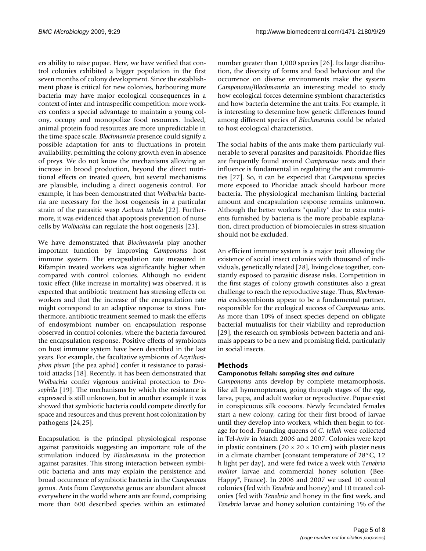ers ability to raise pupae. Here, we have verified that control colonies exhibited a bigger population in the first seven months of colony development. Since the establishment phase is critical for new colonies, harbouring more bacteria may have major ecological consequences in a context of inter and intraspecific competition: more workers confers a special advantage to maintain a young colony, occupy and monopolize food resources. Indeed, animal protein food resources are more unpredictable in the time-space scale. *Blochmannia* presence could signify a possible adaptation for ants to fluctuations in protein availability, permitting the colony growth even in absence of preys. We do not know the mechanisms allowing an increase in brood production, beyond the direct nutritional effects on treated queen, but several mechanisms are plausible, including a direct oogenesis control. For example, it has been demonstrated that *Wolbachia* bacteria are necessary for the host oogenesis in a particular strain of the parasitic wasp *Asobara tabida* [22]. Furthermore, it was evidenced that apoptosis prevention of nurse cells by *Wolbachia* can regulate the host oogenesis [23].

We have demonstrated that *Blochmannia* play another important function by improving *Camponotus* host immune system. The encapsulation rate measured in Rifampin treated workers was significantly higher when compared with control colonies. Although no evident toxic effect (like increase in mortality) was observed, it is expected that antibiotic treatment has stressing effects on workers and that the increase of the encapsulation rate might correspond to an adaptive response to stress. Furthermore, antibiotic treatment seemed to mask the effects of endosymbiont number on encapsulation response observed in control colonies, where the bacteria favoured the encapsulation response. Positive effects of symbionts on host immune system have been described in the last years. For example, the facultative symbionts of *Acyrthosiphon pisum* (the pea aphid) confer it resistance to parasitoid attacks [18]. Recently, it has been demonstrated that *Wolbachia* confer vigorous antiviral protection to *Drosophila* [19]. The mechanisms by which the resistance is expressed is still unknown, but in another example it was showed that symbiotic bacteria could compete directly for space and resources and thus prevent host colonization by pathogens [24,25].

Encapsulation is the principal physiological response against parasitoids suggesting an important role of the stimulation induced by *Blochmannia* in the protection against parasites. This strong interaction between symbiotic bacteria and ants may explain the persistence and broad occurrence of symbiotic bacteria in the *Camponotu*s genus. Ants from *Camponotus* genus are abundant almost everywhere in the world where ants are found, comprising more than 600 described species within an estimated number greater than 1,000 species [26]. Its large distribution, the diversity of forms and food behaviour and the occurrence on diverse environments make the system *Camponotus/Blochmannia* an interesting model to study how ecological forces determine symbiont characteristics and how bacteria determine the ant traits. For example, it is interesting to determine how genetic differences found among different species of *Blochmannia* could be related to host ecological characteristics.

The social habits of the ants make them particularly vulnerable to several parasites and parasitoids. Phoridae flies are frequently found around *Camponotus* nests and their influence is fundamental in regulating the ant communities [27]. So, it can be expected that *Camponotus* species more exposed to Phoridae attack should harbour more bacteria. The physiological mechanism linking bacterial amount and encapsulation response remains unknown. Although the better workers "quality" due to extra nutrients furnished by bacteria is the more probable explanation, direct production of biomolecules in stress situation should not be excluded.

An efficient immune system is a major trait allowing the existence of social insect colonies with thousand of individuals, genetically related [[28](#page-6-1)], living close together, constantly exposed to parasitic disease risks. Competition in the first stages of colony growth constitutes also a great challenge to reach the reproductive stage. Thus, *Blochmannia* endosymbionts appear to be a fundamental partner, responsible for the ecological success of *Camponotus* ants. As more than 10% of insect species depend on obligate bacterial mutualists for their viability and reproduction [29], the research on symbiosis between bacteria and animals appears to be a new and promising field, particularly in social insects.

# **Methods**

# **Camponotus fellah***: sampling sites and culture*

*Camponotus* ants develop by complete metamorphosis, like all hymenopterans, going through stages of the egg, larva, pupa, and adult worker or reproductive. Pupae exist in conspicuous silk cocoons. Newly fecundated females start a new colony, caring for their first brood of larvae until they develop into workers, which then begin to forage for food. Founding queens of *C. fellah* were collected in Tel-Aviv in March 2006 and 2007. Colonies were kept in plastic containers ( $20 \times 20 \times 10$  cm) with plaster nests in a climate chamber (constant temperature of 28°C, 12 h light per day), and were fed twice a week with *Tenebrio molitor* larvae and commercial honey solution (Bee-Happy®, France). In 2006 and 2007 we used 10 control colonies (fed with *Tenebrio* and honey) and 10 treated colonies (fed with *Tenebrio* and honey in the first week, and *Tenebrio* larvae and honey solution containing 1% of the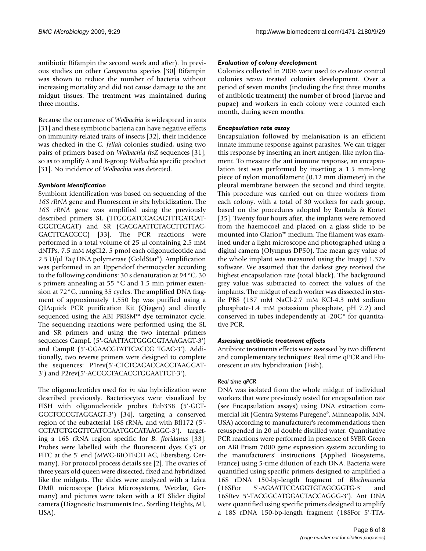antibiotic Rifampin the second week and after). In previous studies on other *Camponotus* species [30] Rifampin was shown to reduce the number of bacteria without increasing mortality and did not cause damage to the ant midgut tissues. The treatment was maintained during three months.

Because the occurrence of *Wolbachia* is widespread in ants [31] and these symbiotic bacteria can have negative effects on immunity-related traits of insects [32], their incidence was checked in the *C. fellah* colonies studied, using two pairs of primers based on *Wolbachia ftsZ* sequences [31], so as to amplify A and B-group *Wolbachia* specific product [31]. No incidence of *Wolbachia* was detected.

# *Symbiont identification*

Symbiont identification was based on sequencing of the *16S rRNA* gene and Fluorescent *in situ* hybridization. The *16S rRNA* gene was amplified using the previously described primers SL (TTGGGATCCAGAGTTTGATCAT-GGCTCAGAT) and SR (CACGAATTCTACCTTGTTAC-GACTTCACCCC) [33]. The PCR reactions were performed in a total volume of 25 μl containing 2.5 mM dNTPs, 7.5 mM MgCl2, 5 pmol each oligonucleotide and 2.5 U/μl *Taq* DNA polymerase (GoldStar®). Amplification was performed in an Eppendorf thermocycler according to the following conditions: 30 s denaturation at 94°C, 30 s primers annealing at 55 °C and 1.5 min primer extension at 72°C, running 35 cycles. The amplified DNA fragment of approximately 1,550 bp was purified using a QIAquick PCR purification Kit (Qiagen) and directly sequenced using the ABI PRISM™ dye terminator cycle. The sequencing reactions were performed using the SL and SR primers and using the two internal primers sequences CampL (5'-GAATTACTGGGCGTAAAGAGT-3') and CampR (5'-GGAACGTATTCACCG TGAC-3'). Additionally, two reverse primers were designed to complete the sequences: P1rev(5'-CTCTCAGACCAGCTAAGGAT-3') and P2rev(5'-ACCGCTACACCTGGAATTCT-3').

The oligonucleotides used for *in situ* hybridization were described previously. Bacteriocytes were visualized by FISH with oligonucleotide probes Eub338 (5'-GCT-GCCTCCCGTAGGAGT-3') [34], targeting a conserved region of the eubacterial 16S rRNA, and with Bfl172 (5'- CCTATCTGGGTTCATCCAATGGCATAAGGC-3'), targeting a 16S rRNA region specific for *B. floridanus* [33]. Probes were labelled with the fluorescent dyes Cy3 or FITC at the 5' end (MWG-BIOTECH AG, Ebersberg, Germany). For protocol process details see [2]. The ovaries of three years old queen were dissected, fixed and hybridized like the midguts. The slides were analyzed with a Leica DMR microscope (Leica Microsystems, Wetzlar, Germany) and pictures were taken with a RT Slider digital camera (Diagnostic Instruments Inc., Sterling Heights, MI, USA).

# *Evaluation of colony development*

Colonies collected in 2006 were used to evaluate control colonies *versus* treated colonies development. Over a period of seven months (including the first three months of antibiotic treatment) the number of brood (larvae and pupae) and workers in each colony were counted each month, during seven months.

# *Encapsulation rate assay*

Encapsulation followed by melanisation is an efficient innate immune response against parasites. We can trigger this response by inserting an inert antigen, like nylon filament. To measure the ant immune response, an encapsulation test was performed by inserting a 1.5 mm-long piece of nylon monofilament (0.12 mm diameter) in the pleural membrane between the second and third tergite. This procedure was carried out on three workers from each colony, with a total of 30 workers for each group, based on the procedures adopted by Rantala & Kortet [35]. Twenty four hours after, the implants were removed from the haemocoel and placed on a glass slide to be mounted into Clarion™ medium. The filament was examined under a light microscope and photographed using a digital camera (Olympus DP50). The mean grey value of the whole implant was measured using the ImageJ 1.37v software. We assumed that the darkest grey received the highest encapsulation rate (total black). The background grey value was subtracted to correct the values of the implants. The midgut of each worker was dissected in sterile PBS (137 mM NaCl-2.7 mM KCl-4.3 mM sodium phosphate-1.4 mM potassium phosphate, pH 7.2) and conserved in tubes independently at -20C° for quantitative PCR.

# *Assessing antibiotic treatment effects*

Antibiotc treatments effects were assessed by two different and complementary techniques: Real time qPCR and Fluorescent *in situ* hybridization (Fish).

# *Real time qPCR*

DNA was isolated from the whole midgut of individual workers that were previously tested for encapsulation rate (see Encapsulation assays) using DNA extraction commercial kit (Gentra Systems Puregene<sup>®</sup>, Minneapolis, MN, USA) according to manufacturer's recommendations then resuspended in 20 μl double distilled water. Quantitative PCR reactions were performed in presence of SYBR Green on ABI Prism 7000 gene expression system according to the manufacturers' instructions (Applied Biosystems, France) using 5-time dilution of each DNA. Bacteria were quantified using specific primers designed to amplified a 16S rDNA 150-bp-length fragment of *Blochmannia* (16SFor 5'-AGAATTCCAGGTGTAGCGGTG-3' and 16SRev 5'-TACGGCATGGACTACCAGGG-3'). Ant DNA were quantified using specific primers designed to amplify a 18S rDNA 150-bp-length fragment (18SFor 5'-TTA-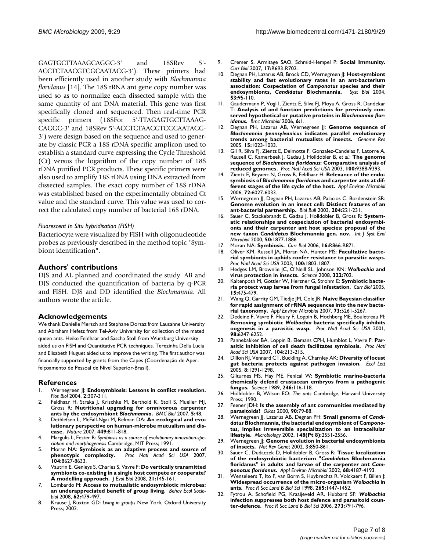GAGTGCTTAAAGCAGGC-3' and 18SRev 5'- ACCTCTAACGTCGCAATACG-3'). These primers had been efficiently used in another study with *Blochmannia floridanus* [14]. The 18S rRNA ant gene copy number was used so as to normalize each dissected sample with the same quantity of ant DNA material. This gene was first specifically cloned and sequenced. Then real-time PCR specific primers (18SFor 5'-TTAGAGTGCTTAAAG-CAGGC-3' and 18SRev 5'-ACCTCTAACGTCGCAATACG-3') were design based on the sequence and used to generate by classic PCR a 18S rDNA specific amplicon used to establish a standard curve expressing the Cycle Threshold (Ct) versus the logarithm of the copy number of 18S rDNA purified PCR products. These specific primers were also used to amplify 18S rDNA using DNA extracted from dissected samples. The exact copy number of 18S rDNA was established based on the experimentally obtained Ct value and the standard curve. This value was used to correct the calculated copy number of bacterial 16S rDNA.

#### *Fluorescent In Situ hybridisation (FISH)*

Bacteriocyte were visualized by FISH with oligonucleotide probes as previously described in the method topic "Symbiont identification".

# **Authors' contributions**

DJS and AL planned and coordinated the study. AB and DJS conducted the quantification of bacteria by q-PCR and FISH. DJS and DD identified the *Blochmannia*. All authors wrote the article.

# **Acknowledgements**

We thank Danielle Mersch and Stephane Dorsaz from Lausanne University and Abraham Hefetz from Tel-Aviv University for collection of the mated queen ants. Heike Feldhaar and Sascha Stoll from Wurzburg University aided us on FISH and Quantitative PCR techniques. Terezinha Della Lucia and Elisabeth Huguet aided us to improve the writing. The first author was financially supported by grants from the Capes (Coordenação de Aperfeiçoamento de Pessoal de Nível Superior-Brasil).

# **References**

- 1. Wernegreen J: Endosymbiosis: Lessons in conflict resolution. *Plos Biol* 2004, **2:**307-311.
- Feldhaar H, Straka J, Krischke M, Berthold K, Stoll S, Mueller MJ, Gross R: **Nutritional upgrading for omnivorous carpenter ants by the endosymbiont** *Blochmannia***[.](http://www.ncbi.nlm.nih.gov/entrez/query.fcgi?cmd=Retrieve&db=PubMed&dopt=Abstract&list_uids=17971224)** *BMC Biol* 2007, **5:**48.
- 3. Dethlefsen L, McFall-Ngai M, Relman DA: **[An ecological and evo](http://www.ncbi.nlm.nih.gov/entrez/query.fcgi?cmd=Retrieve&db=PubMed&dopt=Abstract&list_uids=17943117)[lutionary perspective on human-microbe mutualism and dis](http://www.ncbi.nlm.nih.gov/entrez/query.fcgi?cmd=Retrieve&db=PubMed&dopt=Abstract&list_uids=17943117)[ease.](http://www.ncbi.nlm.nih.gov/entrez/query.fcgi?cmd=Retrieve&db=PubMed&dopt=Abstract&list_uids=17943117)** *Nature* 2007, **449:**811-818.
- 4. Margulis L, Fester R: *Symbiosis as a source of evolutionary innovation-speciation and morphogenesis* Cambridge, MIT Press; 1991.
- Moran NA: **[Symbiosis as an adaptive process and source of](http://www.ncbi.nlm.nih.gov/entrez/query.fcgi?cmd=Retrieve&db=PubMed&dopt=Abstract&list_uids=17494762) phenotypic complexity.** *Proc Natl Acad Sci USA 2007*, **[phenotypic complexity.](http://www.ncbi.nlm.nih.gov/entrez/query.fcgi?cmd=Retrieve&db=PubMed&dopt=Abstract&list_uids=17494762)** *Proc Natl Acad Sci USA* 2007, **104:**8627-8633.
- 6. Vautrin E, Genieys S, Charles S, Vavre F: **[Do vertically transmitted](http://www.ncbi.nlm.nih.gov/entrez/query.fcgi?cmd=Retrieve&db=PubMed&dopt=Abstract&list_uids=18171386) [symbionts co-existing in a single host compete or cooperate?](http://www.ncbi.nlm.nih.gov/entrez/query.fcgi?cmd=Retrieve&db=PubMed&dopt=Abstract&list_uids=18171386) [A modelling approach.](http://www.ncbi.nlm.nih.gov/entrez/query.fcgi?cmd=Retrieve&db=PubMed&dopt=Abstract&list_uids=18171386)** *J Evol Biol* 2008, **21:**145-161.
- 7. Lombardo M: **Access to mutualistic endosymbiotic microbes: an underappreciated benefit of group living.** *Behav Ecol Sociobiol* 2008, **62:**479-497.
- 8. Krause J, Ruxton GD: *Living in groups* New York, Oxford University Press; 2002.
- 9. Cremer S, Armitage SAO, Schmid-Hempel P: **[Social Immunity.](http://www.ncbi.nlm.nih.gov/entrez/query.fcgi?cmd=Retrieve&db=PubMed&dopt=Abstract&list_uids=17714663)** *Curr Biol* 2007, **17:**R693-R702.
- 10. Degnan PH, Lazarus AB, Brock CD, Wernegreen JJ: **Host-symbiont stability and fast evolutionary rates in an ant-bacterium association: Cospeciation of** *Camponotus* **species and their endosymbionts,** *Candidatus* **[Blochmannia.](http://www.ncbi.nlm.nih.gov/entrez/query.fcgi?cmd=Retrieve&db=PubMed&dopt=Abstract&list_uids=14965905)** *Syst Biol* 2004, **53:**95-110.
- 11. Gaudermann P, Vogl I, Zientz E, Silva FJ, Moya A, Gross R, Dandekar T: **Analysis of and function predictions for previously conserved hypothetical or putative proteins in** *Blochmannia floridanus***[.](http://www.ncbi.nlm.nih.gov/entrez/query.fcgi?cmd=Retrieve&db=PubMed&dopt=Abstract&list_uids=16401340)** *Bmc Microbiol* 2006, **6:**1.
- Degnan PH, Lazarus AB, Wernegreen JJ: Genome sequence of *Blochmannia pennsylvanicus* **[indicates parallel evolutionary](http://www.ncbi.nlm.nih.gov/entrez/query.fcgi?cmd=Retrieve&db=PubMed&dopt=Abstract&list_uids=16077009) [trends among bacterial mutualists of insects.](http://www.ncbi.nlm.nih.gov/entrez/query.fcgi?cmd=Retrieve&db=PubMed&dopt=Abstract&list_uids=16077009)** *Genome Res* 2005, **15:**1023-1033.
- 13. Gil R, Silva FJ, Zientz E, Delmotte F, Gonzalez-Candelas F, Latorre A, Rausell C, Kamerbeek J, Gadau J, Holldobler B, *et al.*: **The genome sequence of** *Blochmannia floridanus***[: Comparative analysis of](http://www.ncbi.nlm.nih.gov/entrez/query.fcgi?cmd=Retrieve&db=PubMed&dopt=Abstract&list_uids=12886019) [reduced genomes.](http://www.ncbi.nlm.nih.gov/entrez/query.fcgi?cmd=Retrieve&db=PubMed&dopt=Abstract&list_uids=12886019)** *Proc Natl Acad Sci USA* 2003, **100:**9388-9393.
- 14. Zientz E, Beyaert N, Gross R, Feldhaar H: **Relevance of the endosymbiosis of** *Blochmannia floridanus* **[and carpenter ants at dif](http://www.ncbi.nlm.nih.gov/entrez/query.fcgi?cmd=Retrieve&db=PubMed&dopt=Abstract&list_uids=16957225)[ferent stages of the life cycle of the host.](http://www.ncbi.nlm.nih.gov/entrez/query.fcgi?cmd=Retrieve&db=PubMed&dopt=Abstract&list_uids=16957225)** *Appl Environ Microbiol* 2006, **72:**6027-6033.
- 15. Wernegreen JJ, Degnan PH, Lazarus AB, Palacios C, Bordenstein SR: **[Genome evolution in an insect cell: Distinct features of an](http://www.ncbi.nlm.nih.gov/entrez/query.fcgi?cmd=Retrieve&db=PubMed&dopt=Abstract&list_uids=12700158) [ant-bacterial partnership.](http://www.ncbi.nlm.nih.gov/entrez/query.fcgi?cmd=Retrieve&db=PubMed&dopt=Abstract&list_uids=12700158)** *Biol Bull* 2003, **204:**221-231.
- <span id="page-6-0"></span>16. Sauer C, Stackebrandt E, Gadau J, Holldobler B, Gross R: **Systematic relationships and cospeciation of bacterial endosymbionts and their carpenter ant host species: proposal of the new taxon** *Candidatus* **[Blochmannia gen. nov.](http://www.ncbi.nlm.nih.gov/entrez/query.fcgi?cmd=Retrieve&db=PubMed&dopt=Abstract&list_uids=11034499)** *Int J Syst Evol Microbiol* 2000, **50:**1877-1886.
- 17. Moran NA: **[Symbiosis.](http://www.ncbi.nlm.nih.gov/entrez/query.fcgi?cmd=Retrieve&db=PubMed&dopt=Abstract&list_uids=17055966)** *Curr Biol* 2006, **16:**R866-R871.
- 18. Oliver KM, Russell JA, Moran NA, Hunter MS: **[Facultative bacte](http://www.ncbi.nlm.nih.gov/entrez/query.fcgi?cmd=Retrieve&db=PubMed&dopt=Abstract&list_uids=12563031)[rial symbionts in aphids confer resistance to parasitic wasps.](http://www.ncbi.nlm.nih.gov/entrez/query.fcgi?cmd=Retrieve&db=PubMed&dopt=Abstract&list_uids=12563031)** *Proc Natl Acad Sci USA* 2003, **100:**1803-1807.
- 19. Hedges LM, Brownlie JC, O'Neill SL, Johnson KN: *Wolbachia* **[and](http://www.ncbi.nlm.nih.gov/entrez/query.fcgi?cmd=Retrieve&db=PubMed&dopt=Abstract&list_uids=18974344) [virus protection in insects.](http://www.ncbi.nlm.nih.gov/entrez/query.fcgi?cmd=Retrieve&db=PubMed&dopt=Abstract&list_uids=18974344)** *Science* 2008, **322:**702.
- 20. Kaltenpoth M, Gottler W, Herzner G, Strohm E: **[Symbiotic bacte](http://www.ncbi.nlm.nih.gov/entrez/query.fcgi?cmd=Retrieve&db=PubMed&dopt=Abstract&list_uids=15753044)[ria protect wasp larvae from fungal infestation.](http://www.ncbi.nlm.nih.gov/entrez/query.fcgi?cmd=Retrieve&db=PubMed&dopt=Abstract&list_uids=15753044)** *Curr Biol* 2005, **15:**475-479.
- 21. Wang Q, Garrity GM, Tiedje JM, Cole JR: **[Naive Bayesian classifier](http://www.ncbi.nlm.nih.gov/entrez/query.fcgi?cmd=Retrieve&db=PubMed&dopt=Abstract&list_uids=17586664) [for rapid assignment of rRNA sequences into the new bacte](http://www.ncbi.nlm.nih.gov/entrez/query.fcgi?cmd=Retrieve&db=PubMed&dopt=Abstract&list_uids=17586664)[rial taxonomy.](http://www.ncbi.nlm.nih.gov/entrez/query.fcgi?cmd=Retrieve&db=PubMed&dopt=Abstract&list_uids=17586664)** *Appl Environ Microbiol* 2007, **73:**5261-5267.
- 22. Dedeine F, Vavre F, Fleury F, Loppin B, Hochberg ME, Bouletreau M: **Removing symbiotic** *Wolbachia* **[bacteria specifically inhibits](http://www.ncbi.nlm.nih.gov/entrez/query.fcgi?cmd=Retrieve&db=PubMed&dopt=Abstract&list_uids=11353833) [oogenesis in a parasitic wasp.](http://www.ncbi.nlm.nih.gov/entrez/query.fcgi?cmd=Retrieve&db=PubMed&dopt=Abstract&list_uids=11353833)** *Proc Natl Acad Sci USA* 2001, **98:**6247-6252.
- 23. Pannebakker BA, Loppin B, Elemans CPH, Humblot L, Vavre F: **[Par](http://www.ncbi.nlm.nih.gov/entrez/query.fcgi?cmd=Retrieve&db=PubMed&dopt=Abstract&list_uids=17190825)[asitic inhibition of cell death facilitates symbiosis.](http://www.ncbi.nlm.nih.gov/entrez/query.fcgi?cmd=Retrieve&db=PubMed&dopt=Abstract&list_uids=17190825)** *Proc Natl Acad Sci USA* 2007, **104:**213-215.
- 24. Dillon RJ, Vennard CT, Buckling A, Charnley AK: **Diversity of locust gut bacteria protects against pathogen invasion.** *Ecol Lett* 2005, **8:**1291-1298.
- 25. Gilturnes MS, Hay ME, Fenical W: **[Symbiotic marine-bacteria](http://www.ncbi.nlm.nih.gov/entrez/query.fcgi?cmd=Retrieve&db=PubMed&dopt=Abstract&list_uids=2781297) [chemically defend crustacean embryos from a pathogenic](http://www.ncbi.nlm.nih.gov/entrez/query.fcgi?cmd=Retrieve&db=PubMed&dopt=Abstract&list_uids=2781297) [fungus.](http://www.ncbi.nlm.nih.gov/entrez/query.fcgi?cmd=Retrieve&db=PubMed&dopt=Abstract&list_uids=2781297)** *Science* 1989, **246:**116-118.
- 26. Hölldobler B, Wilson EO: *The ants* Cambridge, Harvard University Press; 1990.
- 27. Feener JDH: **Is the assembly of ant communities mediated by parasitoids?** *Oikos* 2000, **90:**79-88.
- <span id="page-6-1"></span>28. Wernegreen JJ, Lazarus AB, Degnan PH: **Small genome of** *Candidatus* **Blochmannia, the bacterial endosymbiont of** *Camponotus***[, implies irreversible specialization to an intracellular](http://www.ncbi.nlm.nih.gov/entrez/query.fcgi?cmd=Retrieve&db=PubMed&dopt=Abstract&list_uids=12177348) [lifestyle.](http://www.ncbi.nlm.nih.gov/entrez/query.fcgi?cmd=Retrieve&db=PubMed&dopt=Abstract&list_uids=12177348)** *Microbiology* 2002, **148(Pt 8):**2551-2556.
- 29. Wernegreen JJ: **[Genome evolution in bacterial endosymbionts](http://www.ncbi.nlm.nih.gov/entrez/query.fcgi?cmd=Retrieve&db=PubMed&dopt=Abstract&list_uids=12415315) [of insects.](http://www.ncbi.nlm.nih.gov/entrez/query.fcgi?cmd=Retrieve&db=PubMed&dopt=Abstract&list_uids=12415315)** *Nat Rev Genet* 2002, **3:**850-861.
- 30. Sauer C, Dudaczek D, Holldobler B, Gross R: **Tissue localization of the endosymbiotic bacterium "***Candidatus* **Blochmannia floridanus" in adults and larvae of the carpenter ant** *Camponotus floridanus***[.](http://www.ncbi.nlm.nih.gov/entrez/query.fcgi?cmd=Retrieve&db=PubMed&dopt=Abstract&list_uids=12200264)** *Appl Environ Microbiol* 2002, **68:**4187-4193.
- 31. Wenseleers T, Ito F, van Borm S, Huybrechts R, Volckaert F, Billen J: **Widespread occurrence of the micro-organism** *Wolbachia* **in ants.** *Proc R Soc Lond B Biol Sci* 1998, **265:**1447-1452.
- 32. Fytrou A, Schofield PG, Kraaijeveld AR, Hubbard SF: *Wolbachia* **infection suppresses both host defence and parasitoid counter-defence.** *Proc R Soc Lond B Biol Sci* 2006, **273:**791-796.